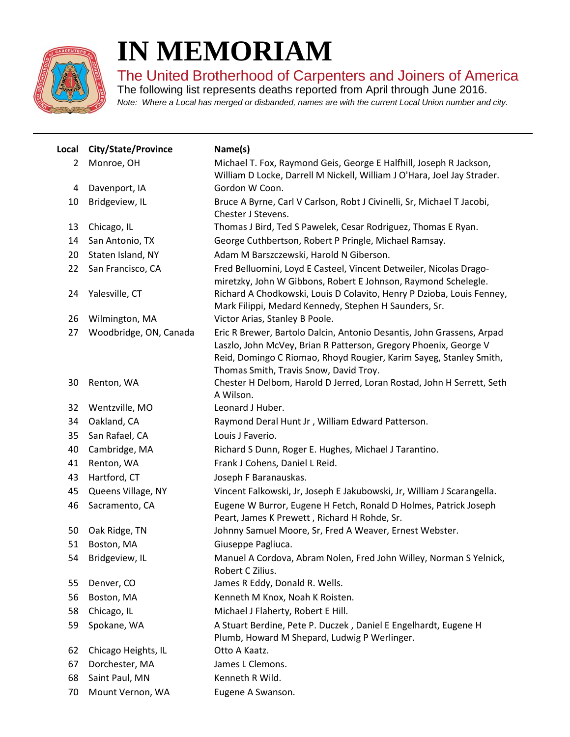

## **IN MEMORIAM**

The United Brotherhood of Carpenters and Joiners of America

The following list represents deaths reported from April through June 2016. *Note: Where a Local has merged or disbanded, names are with the current Local Union number and city.*

| Local          | City/State/Province    | Name(s)                                                                                                                                                                                                                                                   |
|----------------|------------------------|-----------------------------------------------------------------------------------------------------------------------------------------------------------------------------------------------------------------------------------------------------------|
| $\overline{2}$ | Monroe, OH             | Michael T. Fox, Raymond Geis, George E Halfhill, Joseph R Jackson,<br>William D Locke, Darrell M Nickell, William J O'Hara, Joel Jay Strader.                                                                                                             |
| 4              | Davenport, IA          | Gordon W Coon.                                                                                                                                                                                                                                            |
| 10             | Bridgeview, IL         | Bruce A Byrne, Carl V Carlson, Robt J Civinelli, Sr, Michael T Jacobi,<br>Chester J Stevens.                                                                                                                                                              |
| 13             | Chicago, IL            | Thomas J Bird, Ted S Pawelek, Cesar Rodriguez, Thomas E Ryan.                                                                                                                                                                                             |
| 14             | San Antonio, TX        | George Cuthbertson, Robert P Pringle, Michael Ramsay.                                                                                                                                                                                                     |
| 20             | Staten Island, NY      | Adam M Barszczewski, Harold N Giberson.                                                                                                                                                                                                                   |
| 22             | San Francisco, CA      | Fred Belluomini, Loyd E Casteel, Vincent Detweiler, Nicolas Drago-<br>miretzky, John W Gibbons, Robert E Johnson, Raymond Schelegle.                                                                                                                      |
| 24             | Yalesville, CT         | Richard A Chodkowski, Louis D Colavito, Henry P Dzioba, Louis Fenney,<br>Mark Filippi, Medard Kennedy, Stephen H Saunders, Sr.                                                                                                                            |
| 26             | Wilmington, MA         | Victor Arias, Stanley B Poole.                                                                                                                                                                                                                            |
| 27             | Woodbridge, ON, Canada | Eric R Brewer, Bartolo Dalcin, Antonio Desantis, John Grassens, Arpad<br>Laszlo, John McVey, Brian R Patterson, Gregory Phoenix, George V<br>Reid, Domingo C Riomao, Rhoyd Rougier, Karim Sayeg, Stanley Smith,<br>Thomas Smith, Travis Snow, David Troy. |
| 30             | Renton, WA             | Chester H Delbom, Harold D Jerred, Loran Rostad, John H Serrett, Seth<br>A Wilson.                                                                                                                                                                        |
| 32             | Wentzville, MO         | Leonard J Huber.                                                                                                                                                                                                                                          |
| 34             | Oakland, CA            | Raymond Deral Hunt Jr, William Edward Patterson.                                                                                                                                                                                                          |
| 35             | San Rafael, CA         | Louis J Faverio.                                                                                                                                                                                                                                          |
| 40             | Cambridge, MA          | Richard S Dunn, Roger E. Hughes, Michael J Tarantino.                                                                                                                                                                                                     |
| 41             | Renton, WA             | Frank J Cohens, Daniel L Reid.                                                                                                                                                                                                                            |
| 43             | Hartford, CT           | Joseph F Baranauskas.                                                                                                                                                                                                                                     |
| 45             | Queens Village, NY     | Vincent Falkowski, Jr, Joseph E Jakubowski, Jr, William J Scarangella.                                                                                                                                                                                    |
| 46             | Sacramento, CA         | Eugene W Burror, Eugene H Fetch, Ronald D Holmes, Patrick Joseph<br>Peart, James K Prewett, Richard H Rohde, Sr.                                                                                                                                          |
| 50             | Oak Ridge, TN          | Johnny Samuel Moore, Sr, Fred A Weaver, Ernest Webster.                                                                                                                                                                                                   |
| 51             | Boston, MA             | Giuseppe Pagliuca.                                                                                                                                                                                                                                        |
| 54             | Bridgeview, IL         | Manuel A Cordova, Abram Nolen, Fred John Willey, Norman S Yelnick,<br>Robert C Zilius.                                                                                                                                                                    |
| 55             | Denver, CO             | James R Eddy, Donald R. Wells.                                                                                                                                                                                                                            |
| 56             | Boston, MA             | Kenneth M Knox, Noah K Roisten.                                                                                                                                                                                                                           |
| 58             | Chicago, IL            | Michael J Flaherty, Robert E Hill.                                                                                                                                                                                                                        |
| 59             | Spokane, WA            | A Stuart Berdine, Pete P. Duczek, Daniel E Engelhardt, Eugene H                                                                                                                                                                                           |
|                |                        | Plumb, Howard M Shepard, Ludwig P Werlinger.                                                                                                                                                                                                              |
| 62             | Chicago Heights, IL    | Otto A Kaatz.                                                                                                                                                                                                                                             |
| 67             | Dorchester, MA         | James L Clemons.                                                                                                                                                                                                                                          |
| 68             | Saint Paul, MN         | Kenneth R Wild.                                                                                                                                                                                                                                           |
| 70             | Mount Vernon, WA       | Eugene A Swanson.                                                                                                                                                                                                                                         |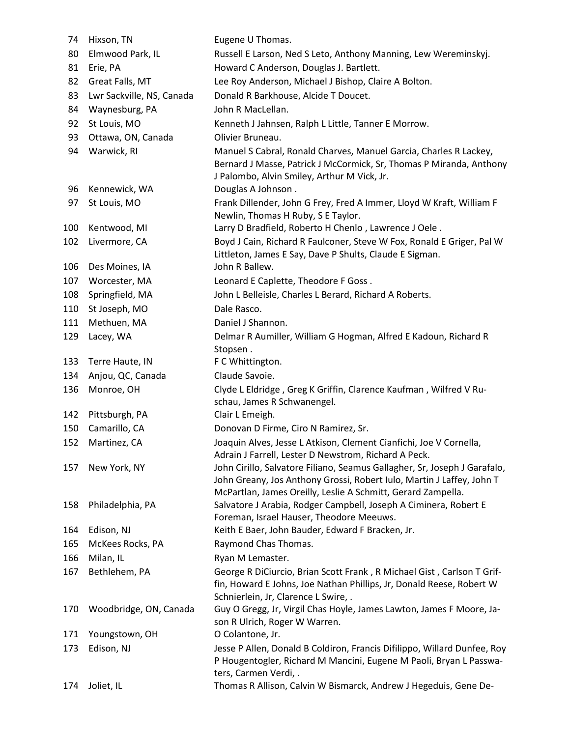| 74  | Hixson, TN                | Eugene U Thomas.                                                                                                                                                                                                   |
|-----|---------------------------|--------------------------------------------------------------------------------------------------------------------------------------------------------------------------------------------------------------------|
| 80  | Elmwood Park, IL          | Russell E Larson, Ned S Leto, Anthony Manning, Lew Wereminskyj.                                                                                                                                                    |
| 81  | Erie, PA                  | Howard C Anderson, Douglas J. Bartlett.                                                                                                                                                                            |
| 82  | Great Falls, MT           | Lee Roy Anderson, Michael J Bishop, Claire A Bolton.                                                                                                                                                               |
| 83  | Lwr Sackville, NS, Canada | Donald R Barkhouse, Alcide T Doucet.                                                                                                                                                                               |
| 84  | Waynesburg, PA            | John R MacLellan.                                                                                                                                                                                                  |
| 92  | St Louis, MO              | Kenneth J Jahnsen, Ralph L Little, Tanner E Morrow.                                                                                                                                                                |
| 93  | Ottawa, ON, Canada        | Olivier Bruneau.                                                                                                                                                                                                   |
| 94  | Warwick, RI               | Manuel S Cabral, Ronald Charves, Manuel Garcia, Charles R Lackey,<br>Bernard J Masse, Patrick J McCormick, Sr, Thomas P Miranda, Anthony<br>J Palombo, Alvin Smiley, Arthur M Vick, Jr.                            |
| 96  | Kennewick, WA             | Douglas A Johnson.                                                                                                                                                                                                 |
| 97  | St Louis, MO              | Frank Dillender, John G Frey, Fred A Immer, Lloyd W Kraft, William F<br>Newlin, Thomas H Ruby, S E Taylor.                                                                                                         |
| 100 | Kentwood, MI              | Larry D Bradfield, Roberto H Chenlo, Lawrence J Oele.                                                                                                                                                              |
| 102 | Livermore, CA             | Boyd J Cain, Richard R Faulconer, Steve W Fox, Ronald E Griger, Pal W<br>Littleton, James E Say, Dave P Shults, Claude E Sigman.                                                                                   |
| 106 | Des Moines, IA            | John R Ballew.                                                                                                                                                                                                     |
| 107 | Worcester, MA             | Leonard E Caplette, Theodore F Goss.                                                                                                                                                                               |
| 108 | Springfield, MA           | John L Belleisle, Charles L Berard, Richard A Roberts.                                                                                                                                                             |
| 110 | St Joseph, MO             | Dale Rasco.                                                                                                                                                                                                        |
| 111 | Methuen, MA               | Daniel J Shannon.                                                                                                                                                                                                  |
| 129 | Lacey, WA                 | Delmar R Aumiller, William G Hogman, Alfred E Kadoun, Richard R<br>Stopsen.                                                                                                                                        |
| 133 | Terre Haute, IN           | F C Whittington.                                                                                                                                                                                                   |
| 134 | Anjou, QC, Canada         | Claude Savoie.                                                                                                                                                                                                     |
| 136 | Monroe, OH                | Clyde L Eldridge, Greg K Griffin, Clarence Kaufman, Wilfred V Ru-<br>schau, James R Schwanengel.                                                                                                                   |
| 142 | Pittsburgh, PA            | Clair L Emeigh.                                                                                                                                                                                                    |
| 150 | Camarillo, CA             | Donovan D Firme, Ciro N Ramirez, Sr.                                                                                                                                                                               |
| 152 | Martinez, CA              | Joaquin Alves, Jesse L Atkison, Clement Cianfichi, Joe V Cornella,<br>Adrain J Farrell, Lester D Newstrom, Richard A Peck.                                                                                         |
| 157 | New York, NY              | John Cirillo, Salvatore Filiano, Seamus Gallagher, Sr, Joseph J Garafalo,<br>John Greany, Jos Anthony Grossi, Robert Iulo, Martin J Laffey, John T<br>McPartlan, James Oreilly, Leslie A Schmitt, Gerard Zampella. |
| 158 | Philadelphia, PA          | Salvatore J Arabia, Rodger Campbell, Joseph A Ciminera, Robert E<br>Foreman, Israel Hauser, Theodore Meeuws.                                                                                                       |
| 164 | Edison, NJ                | Keith E Baer, John Bauder, Edward F Bracken, Jr.                                                                                                                                                                   |
| 165 | McKees Rocks, PA          | Raymond Chas Thomas.                                                                                                                                                                                               |
| 166 | Milan, IL                 | Ryan M Lemaster.                                                                                                                                                                                                   |
| 167 | Bethlehem, PA             | George R DiCiurcio, Brian Scott Frank, R Michael Gist, Carlson T Grif-<br>fin, Howard E Johns, Joe Nathan Phillips, Jr, Donald Reese, Robert W<br>Schnierlein, Jr, Clarence L Swire, .                             |
| 170 | Woodbridge, ON, Canada    | Guy O Gregg, Jr, Virgil Chas Hoyle, James Lawton, James F Moore, Ja-<br>son R Ulrich, Roger W Warren.                                                                                                              |
| 171 | Youngstown, OH            | O Colantone, Jr.                                                                                                                                                                                                   |
| 173 | Edison, NJ                | Jesse P Allen, Donald B Coldiron, Francis Difilippo, Willard Dunfee, Roy<br>P Hougentogler, Richard M Mancini, Eugene M Paoli, Bryan L Passwa-<br>ters, Carmen Verdi, .                                            |
| 174 | Joliet, IL                | Thomas R Allison, Calvin W Bismarck, Andrew J Hegeduis, Gene De-                                                                                                                                                   |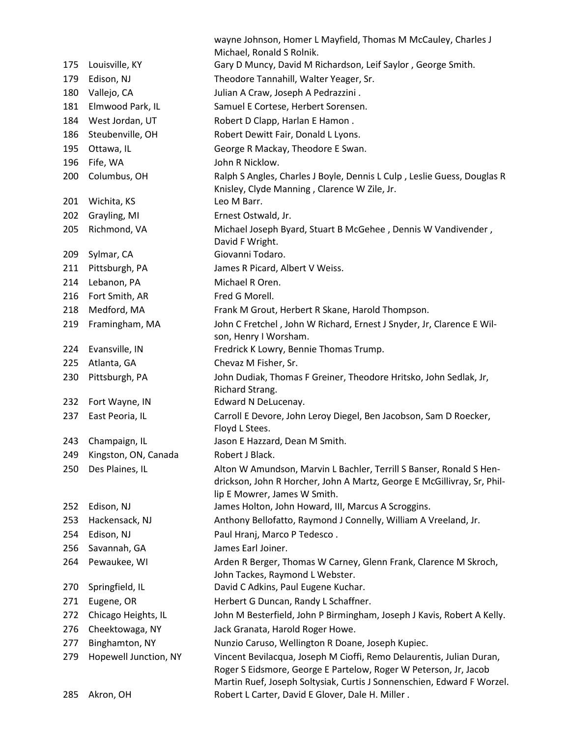|     |                       | wayne Johnson, Homer L Mayfield, Thomas M McCauley, Charles J<br>Michael, Ronald S Rolnik.                                                                                                                         |
|-----|-----------------------|--------------------------------------------------------------------------------------------------------------------------------------------------------------------------------------------------------------------|
| 175 | Louisville, KY        | Gary D Muncy, David M Richardson, Leif Saylor, George Smith.                                                                                                                                                       |
| 179 | Edison, NJ            | Theodore Tannahill, Walter Yeager, Sr.                                                                                                                                                                             |
| 180 | Vallejo, CA           | Julian A Craw, Joseph A Pedrazzini.                                                                                                                                                                                |
| 181 | Elmwood Park, IL      | Samuel E Cortese, Herbert Sorensen.                                                                                                                                                                                |
| 184 | West Jordan, UT       | Robert D Clapp, Harlan E Hamon.                                                                                                                                                                                    |
| 186 | Steubenville, OH      | Robert Dewitt Fair, Donald L Lyons.                                                                                                                                                                                |
| 195 | Ottawa, IL            | George R Mackay, Theodore E Swan.                                                                                                                                                                                  |
| 196 | Fife, WA              | John R Nicklow.                                                                                                                                                                                                    |
| 200 | Columbus, OH          | Ralph S Angles, Charles J Boyle, Dennis L Culp, Leslie Guess, Douglas R<br>Knisley, Clyde Manning, Clarence W Zile, Jr.                                                                                            |
| 201 | Wichita, KS           | Leo M Barr.                                                                                                                                                                                                        |
| 202 | Grayling, MI          | Ernest Ostwald, Jr.                                                                                                                                                                                                |
| 205 | Richmond, VA          | Michael Joseph Byard, Stuart B McGehee, Dennis W Vandivender,<br>David F Wright.                                                                                                                                   |
| 209 | Sylmar, CA            | Giovanni Todaro.                                                                                                                                                                                                   |
| 211 | Pittsburgh, PA        | James R Picard, Albert V Weiss.                                                                                                                                                                                    |
| 214 | Lebanon, PA           | Michael R Oren.                                                                                                                                                                                                    |
| 216 | Fort Smith, AR        | Fred G Morell.                                                                                                                                                                                                     |
| 218 | Medford, MA           | Frank M Grout, Herbert R Skane, Harold Thompson.                                                                                                                                                                   |
| 219 | Framingham, MA        | John C Fretchel, John W Richard, Ernest J Snyder, Jr, Clarence E Wil-<br>son, Henry I Worsham.                                                                                                                     |
| 224 | Evansville, IN        | Fredrick K Lowry, Bennie Thomas Trump.                                                                                                                                                                             |
| 225 | Atlanta, GA           | Chevaz M Fisher, Sr.                                                                                                                                                                                               |
| 230 | Pittsburgh, PA        | John Dudiak, Thomas F Greiner, Theodore Hritsko, John Sedlak, Jr,<br>Richard Strang.                                                                                                                               |
| 232 | Fort Wayne, IN        | Edward N DeLucenay.                                                                                                                                                                                                |
| 237 | East Peoria, IL       | Carroll E Devore, John Leroy Diegel, Ben Jacobson, Sam D Roecker,<br>Floyd L Stees.                                                                                                                                |
| 243 | Champaign, IL         | Jason E Hazzard, Dean M Smith.                                                                                                                                                                                     |
| 249 | Kingston, ON, Canada  | Robert J Black.                                                                                                                                                                                                    |
| 250 | Des Plaines, IL       | Alton W Amundson, Marvin L Bachler, Terrill S Banser, Ronald S Hen-<br>drickson, John R Horcher, John A Martz, George E McGillivray, Sr, Phil-<br>lip E Mowrer, James W Smith.                                     |
| 252 | Edison, NJ            | James Holton, John Howard, III, Marcus A Scroggins.                                                                                                                                                                |
| 253 | Hackensack, NJ        | Anthony Bellofatto, Raymond J Connelly, William A Vreeland, Jr.                                                                                                                                                    |
| 254 | Edison, NJ            | Paul Hranj, Marco P Tedesco.                                                                                                                                                                                       |
| 256 | Savannah, GA          | James Earl Joiner.                                                                                                                                                                                                 |
| 264 | Pewaukee, WI          | Arden R Berger, Thomas W Carney, Glenn Frank, Clarence M Skroch,<br>John Tackes, Raymond L Webster.                                                                                                                |
| 270 | Springfield, IL       | David C Adkins, Paul Eugene Kuchar.                                                                                                                                                                                |
| 271 | Eugene, OR            | Herbert G Duncan, Randy L Schaffner.                                                                                                                                                                               |
| 272 | Chicago Heights, IL   | John M Besterfield, John P Birmingham, Joseph J Kavis, Robert A Kelly.                                                                                                                                             |
| 276 | Cheektowaga, NY       | Jack Granata, Harold Roger Howe.                                                                                                                                                                                   |
| 277 | Binghamton, NY        | Nunzio Caruso, Wellington R Doane, Joseph Kupiec.                                                                                                                                                                  |
| 279 | Hopewell Junction, NY | Vincent Bevilacqua, Joseph M Cioffi, Remo Delaurentis, Julian Duran,<br>Roger S Eidsmore, George E Partelow, Roger W Peterson, Jr, Jacob<br>Martin Ruef, Joseph Soltysiak, Curtis J Sonnenschien, Edward F Worzel. |
|     |                       |                                                                                                                                                                                                                    |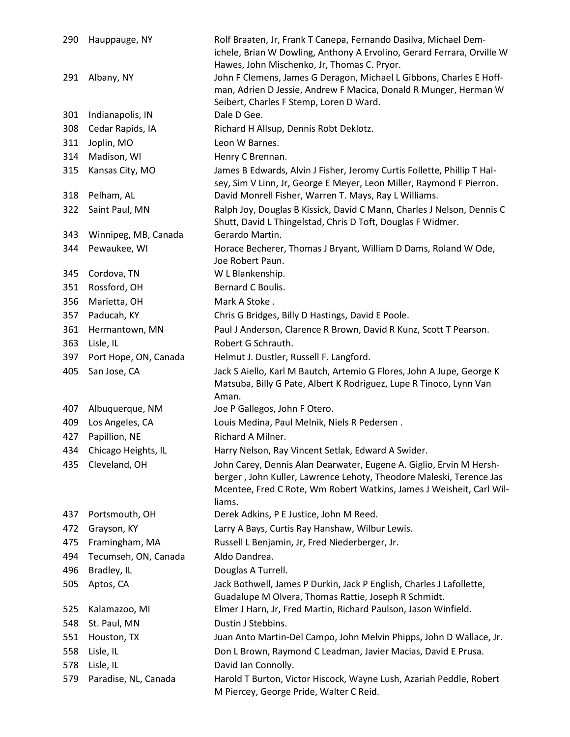| 290 | Hauppauge, NY         | Rolf Braaten, Jr, Frank T Canepa, Fernando Dasilva, Michael Dem-<br>ichele, Brian W Dowling, Anthony A Ervolino, Gerard Ferrara, Orville W<br>Hawes, John Mischenko, Jr, Thomas C. Pryor. |
|-----|-----------------------|-------------------------------------------------------------------------------------------------------------------------------------------------------------------------------------------|
| 291 | Albany, NY            | John F Clemens, James G Deragon, Michael L Gibbons, Charles E Hoff-<br>man, Adrien D Jessie, Andrew F Macica, Donald R Munger, Herman W                                                   |
| 301 | Indianapolis, IN      | Seibert, Charles F Stemp, Loren D Ward.<br>Dale D Gee.                                                                                                                                    |
| 308 | Cedar Rapids, IA      | Richard H Allsup, Dennis Robt Deklotz.                                                                                                                                                    |
| 311 | Joplin, MO            | Leon W Barnes.                                                                                                                                                                            |
| 314 | Madison, WI           | Henry C Brennan.                                                                                                                                                                          |
| 315 | Kansas City, MO       | James B Edwards, Alvin J Fisher, Jeromy Curtis Follette, Phillip T Hal-                                                                                                                   |
|     |                       | sey, Sim V Linn, Jr, George E Meyer, Leon Miller, Raymond F Pierron.                                                                                                                      |
| 318 | Pelham, AL            | David Monrell Fisher, Warren T. Mays, Ray L Williams.                                                                                                                                     |
| 322 | Saint Paul, MN        | Ralph Joy, Douglas B Kissick, David C Mann, Charles J Nelson, Dennis C<br>Shutt, David L Thingelstad, Chris D Toft, Douglas F Widmer.                                                     |
| 343 | Winnipeg, MB, Canada  | Gerardo Martin.                                                                                                                                                                           |
| 344 | Pewaukee, WI          | Horace Becherer, Thomas J Bryant, William D Dams, Roland W Ode,<br>Joe Robert Paun.                                                                                                       |
| 345 | Cordova, TN           | W L Blankenship.                                                                                                                                                                          |
| 351 | Rossford, OH          | Bernard C Boulis.                                                                                                                                                                         |
| 356 | Marietta, OH          | Mark A Stoke.                                                                                                                                                                             |
| 357 | Paducah, KY           | Chris G Bridges, Billy D Hastings, David E Poole.                                                                                                                                         |
| 361 | Hermantown, MN        | Paul J Anderson, Clarence R Brown, David R Kunz, Scott T Pearson.                                                                                                                         |
| 363 | Lisle, IL             | Robert G Schrauth.                                                                                                                                                                        |
| 397 | Port Hope, ON, Canada | Helmut J. Dustler, Russell F. Langford.                                                                                                                                                   |
| 405 | San Jose, CA          | Jack S Aiello, Karl M Bautch, Artemio G Flores, John A Jupe, George K<br>Matsuba, Billy G Pate, Albert K Rodriguez, Lupe R Tinoco, Lynn Van<br>Aman.                                      |
| 407 | Albuquerque, NM       | Joe P Gallegos, John F Otero.                                                                                                                                                             |
| 409 | Los Angeles, CA       | Louis Medina, Paul Melnik, Niels R Pedersen.                                                                                                                                              |
| 427 | Papillion, NE         | Richard A Milner.                                                                                                                                                                         |
| 434 | Chicago Heights, IL   | Harry Nelson, Ray Vincent Setlak, Edward A Swider.                                                                                                                                        |
| 435 | Cleveland, OH         | John Carey, Dennis Alan Dearwater, Eugene A. Giglio, Ervin M Hersh-                                                                                                                       |
|     |                       | berger, John Kuller, Lawrence Lehoty, Theodore Maleski, Terence Jas<br>Mcentee, Fred C Rote, Wm Robert Watkins, James J Weisheit, Carl Wil-<br>liams.                                     |
| 437 | Portsmouth, OH        | Derek Adkins, P E Justice, John M Reed.                                                                                                                                                   |
| 472 | Grayson, KY           | Larry A Bays, Curtis Ray Hanshaw, Wilbur Lewis.                                                                                                                                           |
| 475 | Framingham, MA        | Russell L Benjamin, Jr, Fred Niederberger, Jr.                                                                                                                                            |
| 494 | Tecumseh, ON, Canada  | Aldo Dandrea.                                                                                                                                                                             |
| 496 | Bradley, IL           | Douglas A Turrell.                                                                                                                                                                        |
| 505 | Aptos, CA             | Jack Bothwell, James P Durkin, Jack P English, Charles J Lafollette,                                                                                                                      |
|     |                       | Guadalupe M Olvera, Thomas Rattie, Joseph R Schmidt.                                                                                                                                      |
| 525 | Kalamazoo, MI         | Elmer J Harn, Jr, Fred Martin, Richard Paulson, Jason Winfield.                                                                                                                           |
| 548 | St. Paul, MN          | Dustin J Stebbins.                                                                                                                                                                        |
| 551 | Houston, TX           | Juan Anto Martin-Del Campo, John Melvin Phipps, John D Wallace, Jr.                                                                                                                       |
| 558 | Lisle, IL             | Don L Brown, Raymond C Leadman, Javier Macias, David E Prusa.                                                                                                                             |
| 578 | Lisle, IL             | David Ian Connolly.                                                                                                                                                                       |
| 579 | Paradise, NL, Canada  | Harold T Burton, Victor Hiscock, Wayne Lush, Azariah Peddle, Robert<br>M Piercey, George Pride, Walter C Reid.                                                                            |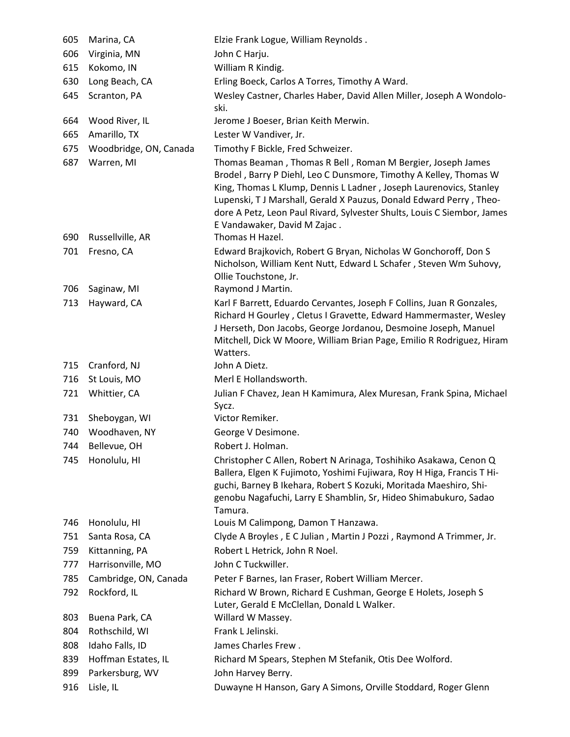| 605        | Marina, CA                | Elzie Frank Logue, William Reynolds.                                                                                                                                                                                                                                                                                                                                                    |
|------------|---------------------------|-----------------------------------------------------------------------------------------------------------------------------------------------------------------------------------------------------------------------------------------------------------------------------------------------------------------------------------------------------------------------------------------|
| 606        | Virginia, MN              | John C Harju.                                                                                                                                                                                                                                                                                                                                                                           |
| 615        | Kokomo, IN                | William R Kindig.                                                                                                                                                                                                                                                                                                                                                                       |
| 630        | Long Beach, CA            | Erling Boeck, Carlos A Torres, Timothy A Ward.                                                                                                                                                                                                                                                                                                                                          |
| 645        | Scranton, PA              | Wesley Castner, Charles Haber, David Allen Miller, Joseph A Wondolo-<br>ski.                                                                                                                                                                                                                                                                                                            |
| 664        | Wood River, IL            | Jerome J Boeser, Brian Keith Merwin.                                                                                                                                                                                                                                                                                                                                                    |
| 665        | Amarillo, TX              | Lester W Vandiver, Jr.                                                                                                                                                                                                                                                                                                                                                                  |
| 675        | Woodbridge, ON, Canada    | Timothy F Bickle, Fred Schweizer.                                                                                                                                                                                                                                                                                                                                                       |
| 687        | Warren, MI                | Thomas Beaman, Thomas R Bell, Roman M Bergier, Joseph James<br>Brodel, Barry P Diehl, Leo C Dunsmore, Timothy A Kelley, Thomas W<br>King, Thomas L Klump, Dennis L Ladner, Joseph Laurenovics, Stanley<br>Lupenski, TJ Marshall, Gerald X Pauzus, Donald Edward Perry, Theo-<br>dore A Petz, Leon Paul Rivard, Sylvester Shults, Louis C Siembor, James<br>E Vandawaker, David M Zajac. |
| 690        | Russellville, AR          | Thomas H Hazel.                                                                                                                                                                                                                                                                                                                                                                         |
| 701<br>706 | Fresno, CA<br>Saginaw, MI | Edward Brajkovich, Robert G Bryan, Nicholas W Gonchoroff, Don S<br>Nicholson, William Kent Nutt, Edward L Schafer, Steven Wm Suhovy,<br>Ollie Touchstone, Jr.<br>Raymond J Martin.                                                                                                                                                                                                      |
| 713        | Hayward, CA               | Karl F Barrett, Eduardo Cervantes, Joseph F Collins, Juan R Gonzales,                                                                                                                                                                                                                                                                                                                   |
|            |                           | Richard H Gourley, Cletus I Gravette, Edward Hammermaster, Wesley<br>J Herseth, Don Jacobs, George Jordanou, Desmoine Joseph, Manuel<br>Mitchell, Dick W Moore, William Brian Page, Emilio R Rodriguez, Hiram<br>Watters.                                                                                                                                                               |
| 715        | Cranford, NJ              | John A Dietz.                                                                                                                                                                                                                                                                                                                                                                           |
| 716        | St Louis, MO              | Merl E Hollandsworth.                                                                                                                                                                                                                                                                                                                                                                   |
| 721        | Whittier, CA              | Julian F Chavez, Jean H Kamimura, Alex Muresan, Frank Spina, Michael<br>Sycz.                                                                                                                                                                                                                                                                                                           |
| 731        | Sheboygan, WI             | Victor Remiker.                                                                                                                                                                                                                                                                                                                                                                         |
| 740        | Woodhaven, NY             | George V Desimone.                                                                                                                                                                                                                                                                                                                                                                      |
| 744        | Bellevue, OH              | Robert J. Holman.                                                                                                                                                                                                                                                                                                                                                                       |
| 745        | Honolulu, HI              | Christopher C Allen, Robert N Arinaga, Toshihiko Asakawa, Cenon Q<br>Ballera, Elgen K Fujimoto, Yoshimi Fujiwara, Roy H Higa, Francis T Hi-<br>guchi, Barney B Ikehara, Robert S Kozuki, Moritada Maeshiro, Shi-<br>genobu Nagafuchi, Larry E Shamblin, Sr, Hideo Shimabukuro, Sadao<br>Tamura.                                                                                         |
| 746        | Honolulu, HI              | Louis M Calimpong, Damon T Hanzawa.                                                                                                                                                                                                                                                                                                                                                     |
| 751        | Santa Rosa, CA            | Clyde A Broyles, E C Julian, Martin J Pozzi, Raymond A Trimmer, Jr.                                                                                                                                                                                                                                                                                                                     |
| 759        | Kittanning, PA            | Robert L Hetrick, John R Noel.                                                                                                                                                                                                                                                                                                                                                          |
| 777        | Harrisonville, MO         | John C Tuckwiller.                                                                                                                                                                                                                                                                                                                                                                      |
| 785        | Cambridge, ON, Canada     | Peter F Barnes, Ian Fraser, Robert William Mercer.                                                                                                                                                                                                                                                                                                                                      |
| 792        | Rockford, IL              | Richard W Brown, Richard E Cushman, George E Holets, Joseph S<br>Luter, Gerald E McClellan, Donald L Walker.                                                                                                                                                                                                                                                                            |
| 803        | Buena Park, CA            | Willard W Massey.                                                                                                                                                                                                                                                                                                                                                                       |
| 804        | Rothschild, WI            | Frank L Jelinski.                                                                                                                                                                                                                                                                                                                                                                       |
| 808        | Idaho Falls, ID           | James Charles Frew.                                                                                                                                                                                                                                                                                                                                                                     |
| 839        | Hoffman Estates, IL       | Richard M Spears, Stephen M Stefanik, Otis Dee Wolford.                                                                                                                                                                                                                                                                                                                                 |
| 899        | Parkersburg, WV           | John Harvey Berry.                                                                                                                                                                                                                                                                                                                                                                      |
| 916        | Lisle, IL                 | Duwayne H Hanson, Gary A Simons, Orville Stoddard, Roger Glenn                                                                                                                                                                                                                                                                                                                          |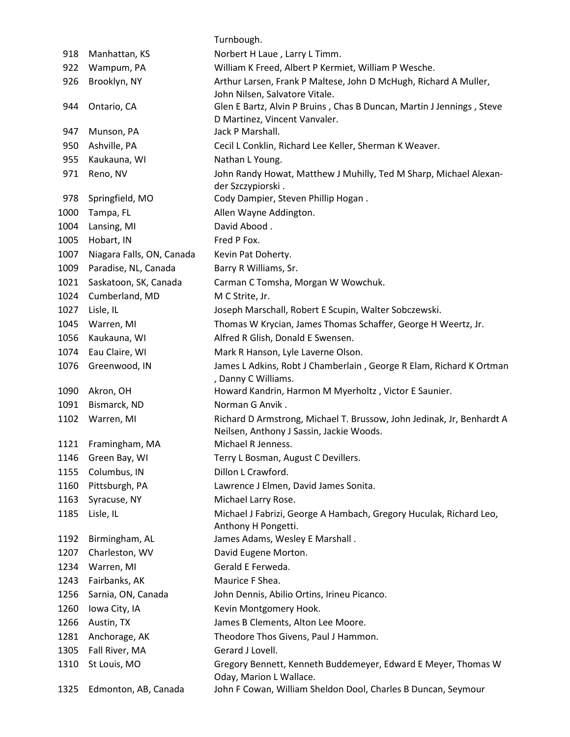|      |                           | Turnbough.                                                                                |
|------|---------------------------|-------------------------------------------------------------------------------------------|
| 918  | Manhattan, KS             | Norbert H Laue, Larry L Timm.                                                             |
| 922  | Wampum, PA                | William K Freed, Albert P Kermiet, William P Wesche.                                      |
| 926  | Brooklyn, NY              | Arthur Larsen, Frank P Maltese, John D McHugh, Richard A Muller,                          |
|      |                           | John Nilsen, Salvatore Vitale.                                                            |
| 944  | Ontario, CA               | Glen E Bartz, Alvin P Bruins, Chas B Duncan, Martin J Jennings, Steve                     |
|      |                           | D Martinez, Vincent Vanvaler.                                                             |
| 947  | Munson, PA                | Jack P Marshall.                                                                          |
| 950  | Ashville, PA              | Cecil L Conklin, Richard Lee Keller, Sherman K Weaver.                                    |
| 955  | Kaukauna, WI              | Nathan L Young.                                                                           |
| 971  | Reno, NV                  | John Randy Howat, Matthew J Muhilly, Ted M Sharp, Michael Alexan-                         |
| 978  | Springfield, MO           | der Szczypiorski.<br>Cody Dampier, Steven Phillip Hogan.                                  |
| 1000 | Tampa, FL                 | Allen Wayne Addington.                                                                    |
| 1004 | Lansing, MI               | David Abood.                                                                              |
| 1005 | Hobart, IN                | Fred P Fox.                                                                               |
| 1007 | Niagara Falls, ON, Canada | Kevin Pat Doherty.                                                                        |
| 1009 | Paradise, NL, Canada      | Barry R Williams, Sr.                                                                     |
| 1021 | Saskatoon, SK, Canada     | Carman C Tomsha, Morgan W Wowchuk.                                                        |
| 1024 | Cumberland, MD            | M C Strite, Jr.                                                                           |
| 1027 | Lisle, IL                 | Joseph Marschall, Robert E Scupin, Walter Sobczewski.                                     |
| 1045 | Warren, MI                | Thomas W Krycian, James Thomas Schaffer, George H Weertz, Jr.                             |
| 1056 | Kaukauna, WI              | Alfred R Glish, Donald E Swensen.                                                         |
| 1074 | Eau Claire, WI            | Mark R Hanson, Lyle Laverne Olson.                                                        |
| 1076 | Greenwood, IN             | James L Adkins, Robt J Chamberlain, George R Elam, Richard K Ortman                       |
|      |                           | , Danny C Williams.                                                                       |
| 1090 | Akron, OH                 | Howard Kandrin, Harmon M Myerholtz, Victor E Saunier.                                     |
| 1091 | Bismarck, ND              | Norman G Anvik.                                                                           |
| 1102 | Warren, MI                | Richard D Armstrong, Michael T. Brussow, John Jedinak, Jr, Benhardt A                     |
|      |                           | Neilsen, Anthony J Sassin, Jackie Woods.                                                  |
| 1121 | Framingham, MA            | Michael R Jenness.                                                                        |
| 1146 | Green Bay, WI             | Terry L Bosman, August C Devillers.                                                       |
| 1155 | Columbus, IN              | Dillon L Crawford.                                                                        |
| 1160 | Pittsburgh, PA            | Lawrence J Elmen, David James Sonita.                                                     |
| 1163 | Syracuse, NY              | Michael Larry Rose.                                                                       |
| 1185 | Lisle, IL                 | Michael J Fabrizi, George A Hambach, Gregory Huculak, Richard Leo,<br>Anthony H Pongetti. |
| 1192 | Birmingham, AL            | James Adams, Wesley E Marshall.                                                           |
| 1207 | Charleston, WV            | David Eugene Morton.                                                                      |
| 1234 | Warren, MI                | Gerald E Ferweda.                                                                         |
| 1243 | Fairbanks, AK             | Maurice F Shea.                                                                           |
| 1256 | Sarnia, ON, Canada        | John Dennis, Abilio Ortins, Irineu Picanco.                                               |
| 1260 | Iowa City, IA             | Kevin Montgomery Hook.                                                                    |
| 1266 | Austin, TX                | James B Clements, Alton Lee Moore.                                                        |
| 1281 | Anchorage, AK             | Theodore Thos Givens, Paul J Hammon.                                                      |
| 1305 | Fall River, MA            | Gerard J Lovell.                                                                          |
| 1310 | St Louis, MO              | Gregory Bennett, Kenneth Buddemeyer, Edward E Meyer, Thomas W<br>Oday, Marion L Wallace.  |
| 1325 | Edmonton, AB, Canada      | John F Cowan, William Sheldon Dool, Charles B Duncan, Seymour                             |
|      |                           |                                                                                           |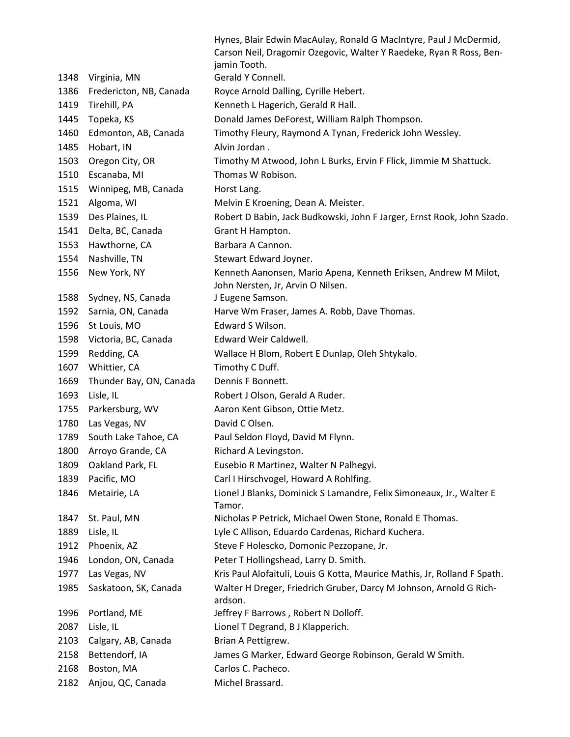|      |                         | Hynes, Blair Edwin MacAulay, Ronald G MacIntyre, Paul J McDermid,<br>Carson Neil, Dragomir Ozegovic, Walter Y Raedeke, Ryan R Ross, Ben-<br>jamin Tooth. |
|------|-------------------------|----------------------------------------------------------------------------------------------------------------------------------------------------------|
| 1348 | Virginia, MN            | Gerald Y Connell.                                                                                                                                        |
| 1386 | Fredericton, NB, Canada | Royce Arnold Dalling, Cyrille Hebert.                                                                                                                    |
| 1419 | Tirehill, PA            | Kenneth L Hagerich, Gerald R Hall.                                                                                                                       |
| 1445 | Topeka, KS              | Donald James DeForest, William Ralph Thompson.                                                                                                           |
| 1460 | Edmonton, AB, Canada    | Timothy Fleury, Raymond A Tynan, Frederick John Wessley.                                                                                                 |
| 1485 | Hobart, IN              | Alvin Jordan.                                                                                                                                            |
| 1503 | Oregon City, OR         | Timothy M Atwood, John L Burks, Ervin F Flick, Jimmie M Shattuck.                                                                                        |
| 1510 | Escanaba, MI            | Thomas W Robison.                                                                                                                                        |
| 1515 | Winnipeg, MB, Canada    | Horst Lang.                                                                                                                                              |
| 1521 | Algoma, WI              | Melvin E Kroening, Dean A. Meister.                                                                                                                      |
| 1539 | Des Plaines, IL         | Robert D Babin, Jack Budkowski, John F Jarger, Ernst Rook, John Szado.                                                                                   |
| 1541 | Delta, BC, Canada       | Grant H Hampton.                                                                                                                                         |
| 1553 | Hawthorne, CA           | Barbara A Cannon.                                                                                                                                        |
| 1554 | Nashville, TN           | Stewart Edward Joyner.                                                                                                                                   |
| 1556 | New York, NY            | Kenneth Aanonsen, Mario Apena, Kenneth Eriksen, Andrew M Milot,                                                                                          |
|      |                         | John Nersten, Jr, Arvin O Nilsen.                                                                                                                        |
| 1588 | Sydney, NS, Canada      | J Eugene Samson.                                                                                                                                         |
| 1592 | Sarnia, ON, Canada      | Harve Wm Fraser, James A. Robb, Dave Thomas.                                                                                                             |
| 1596 | St Louis, MO            | Edward S Wilson.                                                                                                                                         |
| 1598 | Victoria, BC, Canada    | Edward Weir Caldwell.                                                                                                                                    |
| 1599 | Redding, CA             | Wallace H Blom, Robert E Dunlap, Oleh Shtykalo.                                                                                                          |
| 1607 | Whittier, CA            | Timothy C Duff.                                                                                                                                          |
| 1669 | Thunder Bay, ON, Canada | Dennis F Bonnett.                                                                                                                                        |
| 1693 | Lisle, IL               | Robert J Olson, Gerald A Ruder.                                                                                                                          |
| 1755 | Parkersburg, WV         | Aaron Kent Gibson, Ottie Metz.                                                                                                                           |
| 1780 | Las Vegas, NV           | David C Olsen.                                                                                                                                           |
| 1789 | South Lake Tahoe, CA    | Paul Seldon Floyd, David M Flynn.                                                                                                                        |
| 1800 | Arroyo Grande, CA       | Richard A Levingston.                                                                                                                                    |
| 1809 | Oakland Park, FL        | Eusebio R Martinez, Walter N Palhegyi.                                                                                                                   |
| 1839 | Pacific, MO             | Carl I Hirschvogel, Howard A Rohlfing.                                                                                                                   |
| 1846 | Metairie, LA            | Lionel J Blanks, Dominick S Lamandre, Felix Simoneaux, Jr., Walter E                                                                                     |
|      |                         | Tamor.                                                                                                                                                   |
| 1847 | St. Paul, MN            | Nicholas P Petrick, Michael Owen Stone, Ronald E Thomas.                                                                                                 |
| 1889 | Lisle, IL               | Lyle C Allison, Eduardo Cardenas, Richard Kuchera.                                                                                                       |
| 1912 | Phoenix, AZ             | Steve F Holescko, Domonic Pezzopane, Jr.                                                                                                                 |
| 1946 | London, ON, Canada      | Peter T Hollingshead, Larry D. Smith.                                                                                                                    |
| 1977 | Las Vegas, NV           | Kris Paul Alofaituli, Louis G Kotta, Maurice Mathis, Jr, Rolland F Spath.                                                                                |
| 1985 | Saskatoon, SK, Canada   | Walter H Dreger, Friedrich Gruber, Darcy M Johnson, Arnold G Rich-<br>ardson.                                                                            |
| 1996 | Portland, ME            | Jeffrey F Barrows, Robert N Dolloff.                                                                                                                     |
| 2087 | Lisle, IL               | Lionel T Degrand, B J Klapperich.                                                                                                                        |
| 2103 | Calgary, AB, Canada     | Brian A Pettigrew.                                                                                                                                       |
| 2158 | Bettendorf, IA          | James G Marker, Edward George Robinson, Gerald W Smith.                                                                                                  |
| 2168 | Boston, MA              | Carlos C. Pacheco.                                                                                                                                       |
| 2182 | Anjou, QC, Canada       | Michel Brassard.                                                                                                                                         |
|      |                         |                                                                                                                                                          |